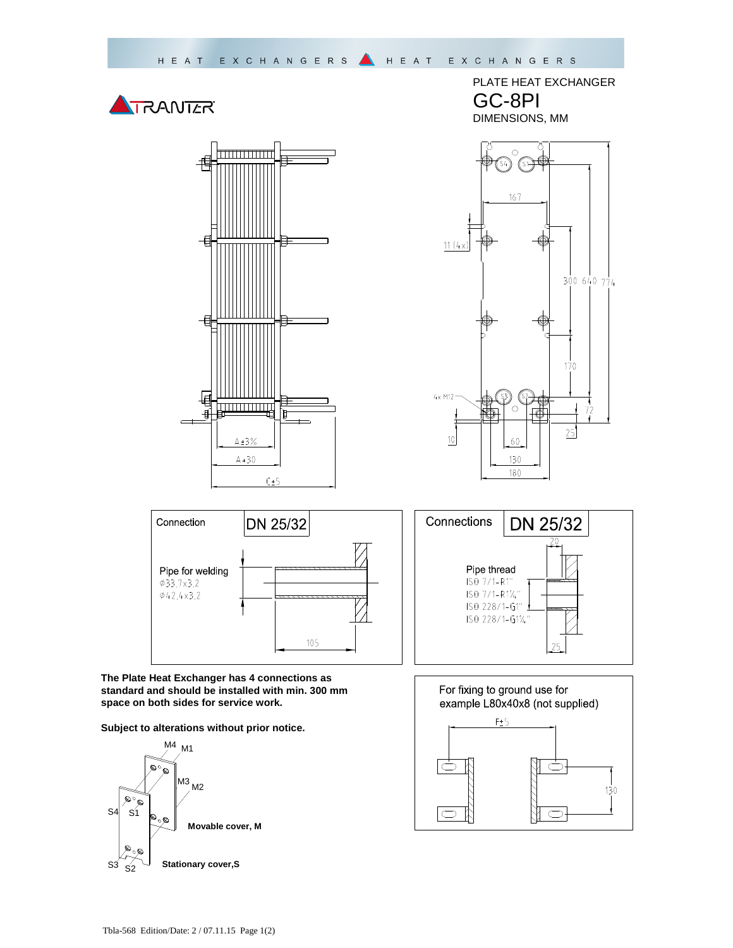



PLATE HEAT EXCHANGER GC-8PI DIMENSIONS, MM





Connections DN 25/32 20 Pipe thread ISO 7/1-R1" ISO 7/1-R114" ISO 228/1-G1" ISO 228/1-G1¼"

**The Plate Heat Exchanger has 4 connections as standard and should be installed with min. 300 mm space on both sides for service work.** 

**Subject to alterations without prior notice.**